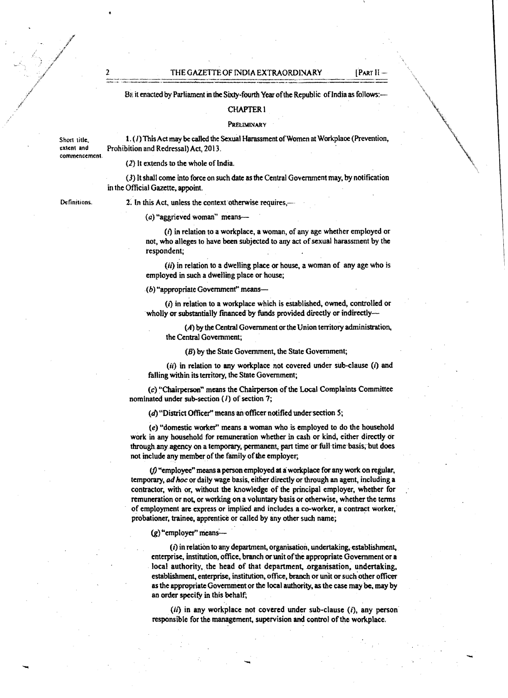THE GAZETTE OF INDIA EXTRAORDINARY [PART II

BE it enacted by Parliament in the Sixty-fourth Year of the Republic of India as follows:-

#### CHAPTER I

#### **PRELIMINARY**

commencement 1. (1) This Act may be called the Sexual Harassment of Women at Workplace (Prevention, Prohibition and Redressal) Act, 2013.

(2) It extends to the whole of India.

(J) It shall come into force on such date as the Central Government may. by notification in the Official Gazette. appoint.

Definitions.

Short title, extent and

2. In this Act, unless the context otherwise requires,---

### $(a)$  "aggrieved woman" means-

 $(i)$  in relation to a workplace, a woman, of any age whether employed or not, who alleges to have been subjected to any act of sexual harassment by the respondent;

 $(ii)$  in relation to a dwelling place or house, a woman of any age who is employed in such a dwelling place or house;

 $($ b) "appropriate Government" means---

 $(i)$  in relation to a workplace which is established, owned, controlled or wholly or substantially financed by funds provided directly or indirectly-

(A) by the Central Government or the Union territory administration, the Central Government;

(B) by the State Government, the State Government;

 $(ii)$  in relation to any workplace not covered under sub-clause  $(i)$  and falling within its territory, the State Government;

 $(c)$  "Chairperson" means the Chairperson of the Local Complaints Committee nominated under sub-section  $(1)$  of section 7;

 $(d)$  "District Officer" means an officer notified under section 5;

(e) "domestic worker" means a woman who is employed to do the household work in any household for remuneration whether in cash or kind, either directly or through any agency on a temporary, permanent, part time or full time-basis, but does not include any member of the family of the employer;

 $(f)$  "employee" means a person employed at a workplace for any work on regular, temporary, *ad hoc* or daily wage basis, either directly or through an agent, including a contractor, with or, without the knowledge of the principal employer. whether for remuneration or not, or working on a voluntary basis or otherwise, whether the terms of employment are express or implied and includes a co-worker, a contract worker.' probationer, trainee, apprentice or called by any other such name;

 $(g)$  "employer" means---

 $(i)$  in relation to any department, organisation, undertaking, establishment, enterprise, institution, office, branch or unit of the appropriate Government or a local authority, the head of that department, organisation, undertaking, establishment, enterprise, institution, office, branch or unit or such other officer as the appropriate Government or the local authority, as the case may be, may by an order specify in this behalf;

*(il)* in any workplace not covered under sub-clause (i), any person responsible for the management, supervision and control of the workplace.

-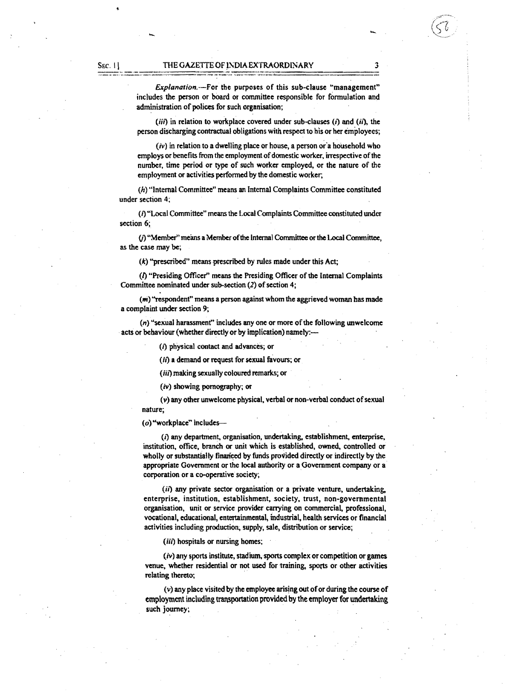Explanation.--For the purposes of this sub-clause "management" includes the person or board or committee responsible for fonnulation and administration of polices for such organisation;

- -

(iii) in relation to workplace covered under sub-clauses *(t)* and *(it),* the person discharging contractual obligations with respect to his or her employees;

 $(v)$  in relation to a dwelling place or house, a person or a household who employs or benefits from the employment of domestic worker, irrespective of the number, time period or type of such worker employed, or the nature of the employment or activities performed by the domestic worker,

(h) "Internal Committee" means an Internal Complaints Committee constituted under section 4;

*(t)* "Local Committee" means the Local Complaints Committee constituted under section 6;

(i) "Member" means a Member of the Internal Committee or the Local Committee, as the case may be;

(k) "prescribed" means prescribed by rules made under this Act;

 $(1)$  "Presiding Officer" means the Presiding Officer of the Internal Complaints Committee nominated under sub-section  $(2)$  of section 4;

 $(m)$  "respondent" means a person against whom the aggrieved woman has made a complaint under section 9;

 $(n)$  "sexual harassment" includes any one or more of the following unwelcome acts or behaviour (whether directly or by implication) namely:-

(i) physical contact and advances; or

(ii) a demand or request for sexual favours; or

(iii) making sexually coloured remarks; or

 $(iv)$  showing pornography; or

 $(v)$  any other unwelcome physical, verbal or non-verbal conduct of sexual nature;

(0) "workplace'" includes

 $(i)$  any department, organisation, undertaking, establishment, enterprise, institution, office, branch or unit which is established, owned, controlled or wholly or substantially finariced by funds provided directly or indirectly by the appropriate Government or the local authority or a Government company or a corporation or a co-operative society;

(ii) any private sector organisation or a private venture, undertaking, enterprise, institution, establishment, society, trust, non-governmental organisation, unit or service provider carrying on commercial, professional, vocational, educational, entertainmental, industrial, health services or financial activities including production, supply, sale, distribution or service;

(iii) hospitals or nursing homes;

 $(iv)$  any sports institute, stadium, sports complex or competition or games venue, whether residential or not used for training, sports or other activities relating thereto;

 $(v)$  any place visited by the employee arising out of or during the course of employment including transportation provided by the employer for undertaking such journey;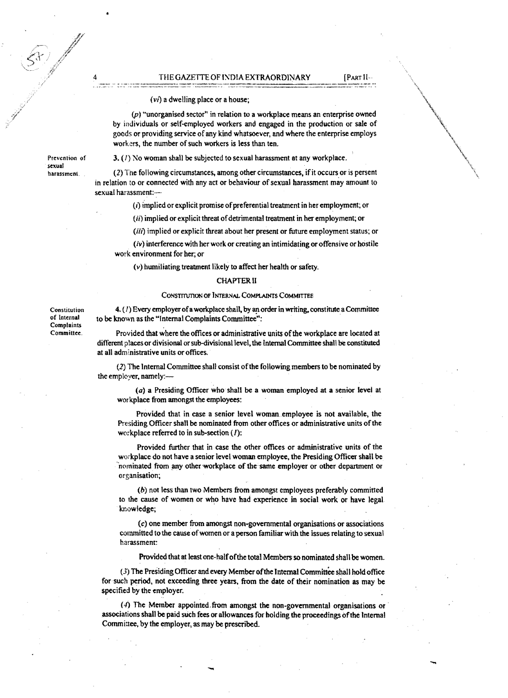#### THE GAZETTE OF INDIA EXTRAORDINARY [PART II--

-

#### *(VI)* a dwelling place or a house;

 $(p)$  "unorganised sector" in relation to a workplace means an enterprise owned by individuals or self-employed workers and engaged in the production or sale of goods or providing service of any kind whatsoever, and where the enterprise employs workers, the number of such workers is less than ten.

Prevention of sexual harassment.

3.  $(I)$  No woman shall be subjected to sexual harassment at any workplace.

(2) The following circumstances, among other circumstances, if it occurs or is persent in relation to or connected with any act or behaviour of sexual harassment may amount to sexual harassment:

 $(i)$  implied or explicit promise of preferential treatment in her employment; or

(ii) implied or explicit threat of detrimental treatment in her employment; or

(iii) implied or explicit threat about her present or future employment status; or

 $(iv)$  interference with her work or creating an intimidating or offensive or hostile work environment for her; or

(v) humiliating treatment likely to affect her health or safety.

#### CHAPTER II

#### CONSTITUTION OF INTERNAL COMPLAINTS COMMITTEE

Constitution of Internal Complaints Committee.

4. (1) Every employer of a workplace shall, by an order in writing, constitute a Committee to be known as the "Internal Complaints Committee":

Provided that where the offices or administrative units of the workplace are located at different places or divisional or sub-divisional level, the Internal Committee shall be constituted at all administrative units or offices.

(2) The Internal Committee shall consist ofthe following members to be nominated by the employer. namely:

 $(a)$  a Presiding Officer who shall be a woman employed at a senior level at workplace from amongst the employees:

Provided that in case a senior level woman employee is not available, the Presiding Officer shall be nominated from other offices or administrative units of the workplace referred to in sub-section *(I):* 

Provided further that in case the other offices or administrative units of the workplace do not have a senior level woman employee, the Presiding Officer shall be nominated from any other workplace of the same employer or other department or organisation;

(b) not less than two Members from amongst employees preferably committed to the cause of women or who have bad experience in social work or have legal knowledge;

(c) one member from amongst non-govemmentaJ organisations or associations committed to the cause ofwomen or a person familiar with the issues relating to sexual harassment:

Provided that at least one-half of the total Members so nominated shall be women.

(3) The Presiding Officer and every Member of the Internal Committee shall hold office for such period, not exceeding three years, from the date of their nomination as may be specified by the employer.

 $(4)$  The Member appointed from amongst the non-governmental organisations or associations shall be paid such fees or allowances for holding the proceedings ofthe Internal Committee. by the employer, as may be prescribed.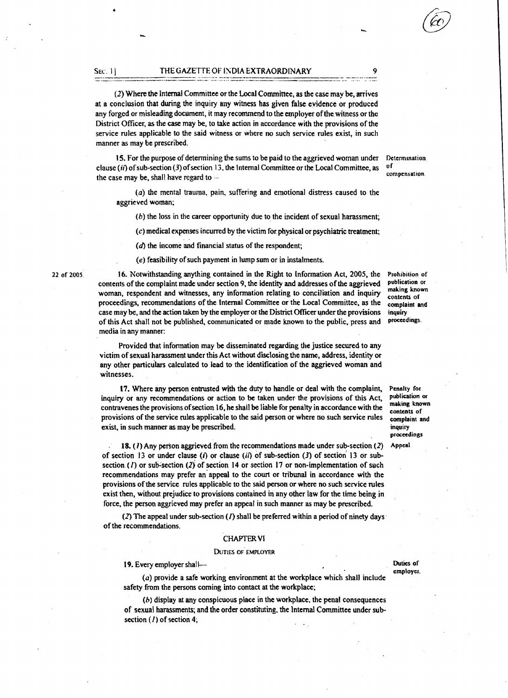-------=--=--=----"----,-=-'--':.:='-::-~:;:~:-::......--::- =.=========== -::-~-::-:.--:,:::=

(2) Where the Internal Committee or the Local Committee, as the case may be, arrives at a conclusion that during the inquiry any witness has given false evidence or produced any forged or misleading document, it may recommend to the employer of the witness or the District Officer. as the case may be, to take action in accordance with the provisions ofthe service rules applicable to the said witness or where no such service rules exist, in such manner as may be prescribed.

15. For the purpose of determining the sums to be paid to the aggrieved woman under clause (ii) of sub-section (3) of section 13, the Internal Committee or the Local Committee, as the case may be, shall have regard to --

 $(a)$  the mental trauma, pain, suffering and emotional distress caused to the aggrieved woman;

(b) the loss in the career opportunity due to the incident of sexual harassment;

(c) medical expenses incurred by the victim for physical or psychiatric treatment;

 $(d)$  the income and financial status of the respondent;

 $(e)$  feasibility of such payment in lump sum or in instalments.

16. Notwithstanding anything contained in the Right to (nformation Act, 2005, the contents ofthe complaint made under section 9, the identity and addresses ofthe aggrieved woman, respondent and witnesses, any information relating to conciliation and inquiry proceedings, recommendations of the Internal Committee or the Local Committee, as the case may be, and the action taken by the employer or the District Officer under the provisions of this Act shall not be published, communicated or made known to the public, press and media in any manner:

Provided that information may be disseminated regarding the justice secured to any victim of sexual harassment under this Act without disclosing the name, address, identity or any other particulars calculated to lead to tne identification of the aggrieved woman and witnesses.

17. Where any person entrusted with the duty to handle or deal with the complaint, inquiry or any recommendations or action to be taken under the provisions of this Act, contravenes the provisions of section 16, he shall be liable for penalty in accordance with the provisions of the service rules applicable to the said person or where no such service rules exist, in such manner as may be prescribed.

18. ( $l$ ) Any person aggrieved from the recommendations made under sub-section (2) of section 13 or under clause (i) or clause (ii) of sub-section (3) of section 13 or subsection (1) or sub-section (2) of section 14 or section 17 or non-implementation of such recommendations may prefer an' appeal to the court or tribunal in accordance with the provisions ofthe service rules applicable to the said person or where no such service rules exist then, without prejudice to provisions contained in any other law for the time being in force. the person aggrieved may prefer an appeal in such manner as may be prescribed.

(2) The appeal under sub-section  $(I)$  shall be preferred within a period of ninety days ofthe recommendations.

#### CHAPTER VI

#### DUTIES OF EMPLOYER

19. Every employer shall have been allowed by the Duties of Duties of

(a) provide a safe working environment at the workplace which shall include safety from the persons coming into contact at the workplace:

(b) display at any conspicuous place in the workplace. the penal consequences of sexual harassments; and the order constituting. the Internal Committee under subsection (/) of section 4;

Prohibition of publication or making known contents of complaint and inquiry proceedings,

Penally for publication or mal<ing known contents of complaint and inquiry proceedings

Appeal

employer.

Determination of compensation,

22 of 2005,

## SEC. 1\ THE GAZETTE OF 1NDIA EXTRAORDINARY

-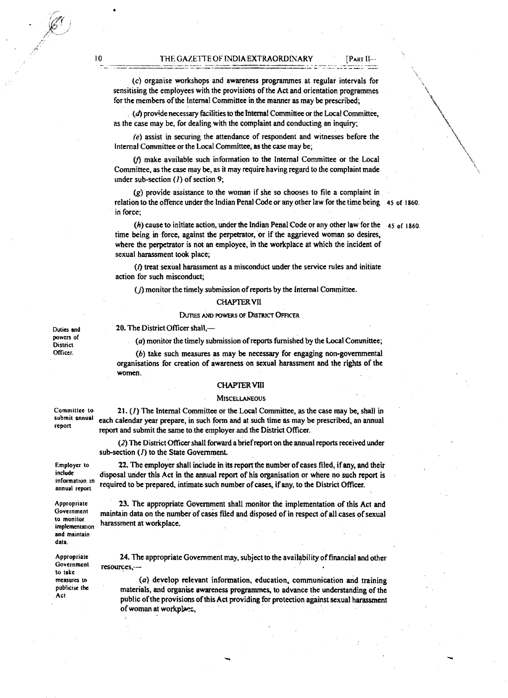10 THE GAZETTE OF INDIA EXTRAORDINARY

(c) organise workshops and awareness programmes at regular intervals for sensitising the employees with the provisions of the Act and orientation programmes for the members of the Internal Committee in the manner as may be prescribed;

 $(d)$  provide necessary facilities to the Internal Committee or the Local Committee, as the case may be, for dealing with the complaint and conducting an inquiry;

(e) assist in securing the attendance of respondent and witnesses before the Internal Committee or the Local Committee, as the case may be;

 $(f)$  make available such information to the Internal Committee or the Local Committee, as the case may be, as it may require having regard to the complaint made under sub-section  $(1)$  of section 9;

(g) provide assistance 10 the woman if she so chooses to file a complaint in relation to the offence under the Indian Penal Code orany other law for the time being 45 of 1860. in force;

(h) cause to initiate action, under the Indian Penal Code or any other law for the  $45$  of 1860. time being in force, against the perpetrator, or if the aggrieved woman so desires, where the perpetrator is not an employee, in the workplace at which the incident of sexual harassment took place;

 $(i)$  treat sexual harassment as a misconduct under the service rules and initiate action for such misconduct;

 $(j)$  monitor the timely submission of reports by the Internal Committee.

#### **CHAPTER VII**

#### DUTIES AND POWERS OF DISTRICT OFFICER

Duties and 20. The District Officer shall,—<br>powers of  $\bigcap_{n=1}^{\infty}$  mentionals thus bound

powers of (a) monitor the timely submission of reports furnished by the Local Committee;<br>District (b) take such measures as may be necessary for engaging non-governmental

 $(b)$  take such measures as may be necessary for engaging non-governmental organisations for creation of awareness on sexual harassment and the rights of the women.

#### CHAPTERVID

#### **MISCELLANEOUS**

Committee to 21.  $(1)$  The Internal Committee or the Local Committee, as the case may be, shall in submit annual contract and property in such forms and at such time as may be propertied an example submit annual each calendar year prepare, in such form and at such time as may be prescribed, an annual report report and submit the same to the employer and the District Officer.

> (2) The District Officer shall forward a brief report on the annual reports received under sub-section (1) to the State Government.

Employer to 22. The employer shall include in its report the number of cases filed, if any, and their disposal under this Act in the annual report of his organisation or where no such report is information in required to be prepared, intimate such number of cases, if any, to the District Officer.

Appropriate 23. The appropriate Government shall monitor the implementation of this Act and<br>Government mointain data as the sumber of save filed and dispersed of in second of the second former maintain data on the number of cases filed and disposed of in respect of all cases of sexual harassment at workplace.

Appropriate 24. The appropriate Government may, subject to the availability of financial and other<br>Government continuous Government  $res_{\alpha}$   $\cdots$   $res_{\alpha}$   $\cdots$   $res_{\alpha}$   $\cdots$   $res_{\alpha}$ 

 $I(a)$  develop relevant information, education, communication and training materials, and organise awareness programmes, to advance the understanding of the Act public of the provisions of this Act providing for protection against sexual harassment 24. The appropriate Government may, subject to the availability of finances,  $\cdots$ <br>
(a) develop relevant information, education, communication<br>materials, and organise awareness programmes, to advance the unders<br>
public of

include<br>information in

to monitor<br>implementation and maintain data.

Government resources, to take publicise the

"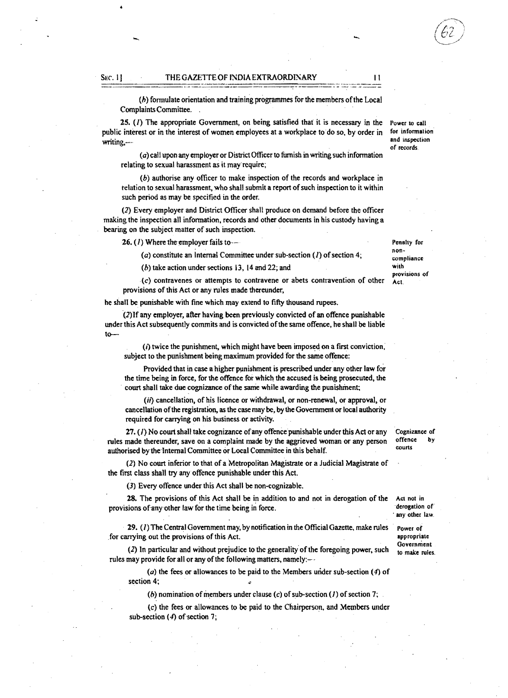#### SEC. I **I** THE GAZETTE OF INDIA EXTRAORDINARY **II**

 $(b)$  formulate orientation and training programmes for the members of the Local ComplaintsCommittee. .

25.  $(I)$  The appropriate Government, on being satisfied that it is necessary in the public interest or in the interest of women employees at a workplace to' do so, by order in writing,---

(a) call upon any employer or District Officer to furnish in writing such information relating to sexual harassment as it may require;

(b) authorise any officer to make inspection of the records and workplace in relation to sexual hamssment, who shall submit a report of such inspection to it within such period as may be specified in the order.

(2) Every employer and District Officer shall produce on demand before the officer making the inspection all information, records and other documents in his custody having a bearing on the subject matter of such inspection.

16. *(I)* Where the employer fails to--

(a) constitute an Internal Committee under sub-section (I) of section 4;

(b) take action under sections 13, 14 and 22; and

(c) contravenes or attempts to contravene or abets contravention of other provisions of this Act or any rules made thereunder,

he shall be punishable with fine which may extend to fifty thousand rupees.

 $(2)$ If any employer, after having been previously convicted of an offence punishable under this Act subsequently commits and is convicted ofthe same offence, he shall be liable to

 $(i)$  twice the punishment, which might have been imposed on a first conviction, subject to the punishment being maximum provided for the same offence:

Provided that in case a higher punishment is prescribed under any other law for the time being in force, for the offence for which the accused is being prosecuted, the court shall take due cognizance of the same while awarding the punishment;

 $(ii)$  cancellation, of his licence or withdrawal, or non-renewal, or approval, or cancellation ofthe registration, as the case may be, by the Government or local authority required for carrying on his business or activity.

 $27. (1)$  No court shall take cognizance of any offence punishable under this Act or any rules made thereunder, save on a complaint made by the aggrieved woman or any person authorised by the Internal Committee or Local Committee in this behalf.

(2) No court inferior to that of a Metropolitan Magistrate or a Judicial Magistrate of the first class shall try any offence punishable under this Act.

(3) Every offence under this Act shall be non·cognizable.

28. The provisions of this Act shall be in addition to and not in derogation of the provisjons ofany other law for the time being in force. Act not in

. 19. *(I)* The Central Government may, by notification in the Official Gazette, make rules for carrying out the provisions of this Act.

 $(2)$  In particular and without prejudice to the generality of the foregoing power, such rules may provide for all or any of the following matters, namely:--

(a) the fees or allowances to be paid to the Members under sub-section  $(4)$  of section 4;

(b) nomination of members under clause (c) of sub-section (1) of section 7;

(c) the fees or allowances to be paid to the Chairperson, and Members under sub-section  $(4)$  of section 7;

Cognizance of offence by

courts

Power to call for information and inspection of records.

noncompliance with provisions of Act.

Penalty for

derogation of any other law.

Power of appropriate Government to make rules.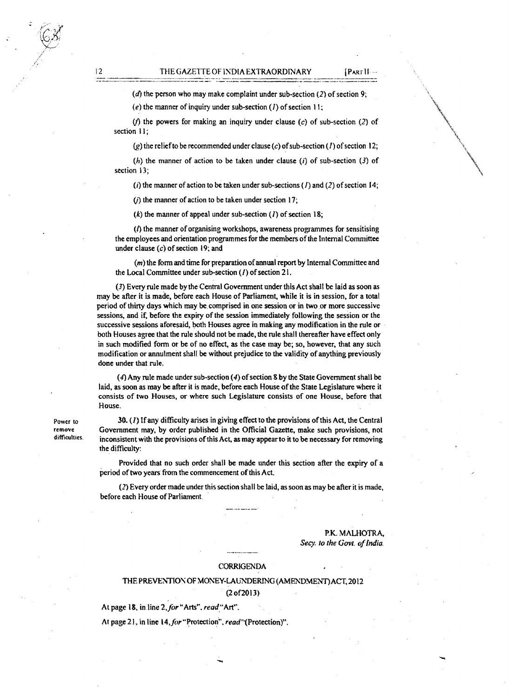( $d$ ) the person who may make complaint under sub-section (2) of section 9;

(e) the manner of inquiry under sub-section *(I)* of section 11;

(f) the powers for making an inquiry under clause (c) of sub-section (2) of section I);

(g) the relief to be recommended under clause (c) of sub-section (1) of section 12;

(h) the manner of action to be taken under clause (i) of sub-section (3) of section 13:

(i) the manner of action to be taken under sub-sections (*I*) and (2) of section 14;

( $i$ ) the manner of action to be taken under section 17;

 $(k)$  the manner of appeal under sub-section  $(1)$  of section 18;

 $(1)$  the manner of organising workshops, awareness programmes for sensitising the employees and orientation programmes for the members of the Internal Committee under clause  $(c)$  of section 19; and

 $(m)$  the form and time for preparation of annual report by Internal Committee and the Local Committee under sub-section  $(1)$  of section 21.

(3) Every rule made by the Central Government under this Act shall be laid as soon as may be after it is made, before each House of Parliament, while it is in session, for a total period of thirty days which may be comprised in one session or in two or more successive sessions, and if, before the expiry of the session immediately following the session or the successive sessions aforesaid, both Houses agree in making any modification in the rule or both Houses agree that the rule should not be made, the rule shall thereafter have effect only in such modified form or be of no effect, as the case may be; so, however, that any such modification or annulment shall be without prejudice to the validity of anything previously done under that rule.

(4) Any rule made under sub-section  $(4)$  of section 8 by the State Government shall be laid, as soon as may be after it is made, before each House ofthe State Legislature where it consists of two Houses, or where such Legislature consists of one House, before that House.

Power to 30. (1) If any difficulty arises in giving effect to the provisions ofthis Act, the Central remove Government may, by order published in the Official Gazette, make such provisions, not<br>difficulties. inconsistent with the provisions of this Act, as may appear to it to be pecessary for removing inconsistent with the provisions of this Act, as may appear to it to be necessary for removing the difficulty:

> Provided that no such order shall be made under this section after the expiry of a period of two years from the commencement of this Act.

> *(Z)* Every order made under this section shall be laid, as soon as may be after it is made, before each House of Parliament.

> > P.K. MALHOTRA, Secy. to the Govt. of India.

#### CORRIGENDA

# THE PREVENTION OF MONEY-LAUNDERING (AMENDMENT) ACT, 2012 (20f2013)

At page 18, in line 2, for "Arts", read "Art".

At page 21, in line 14, for "Protection", read"(Protection)".